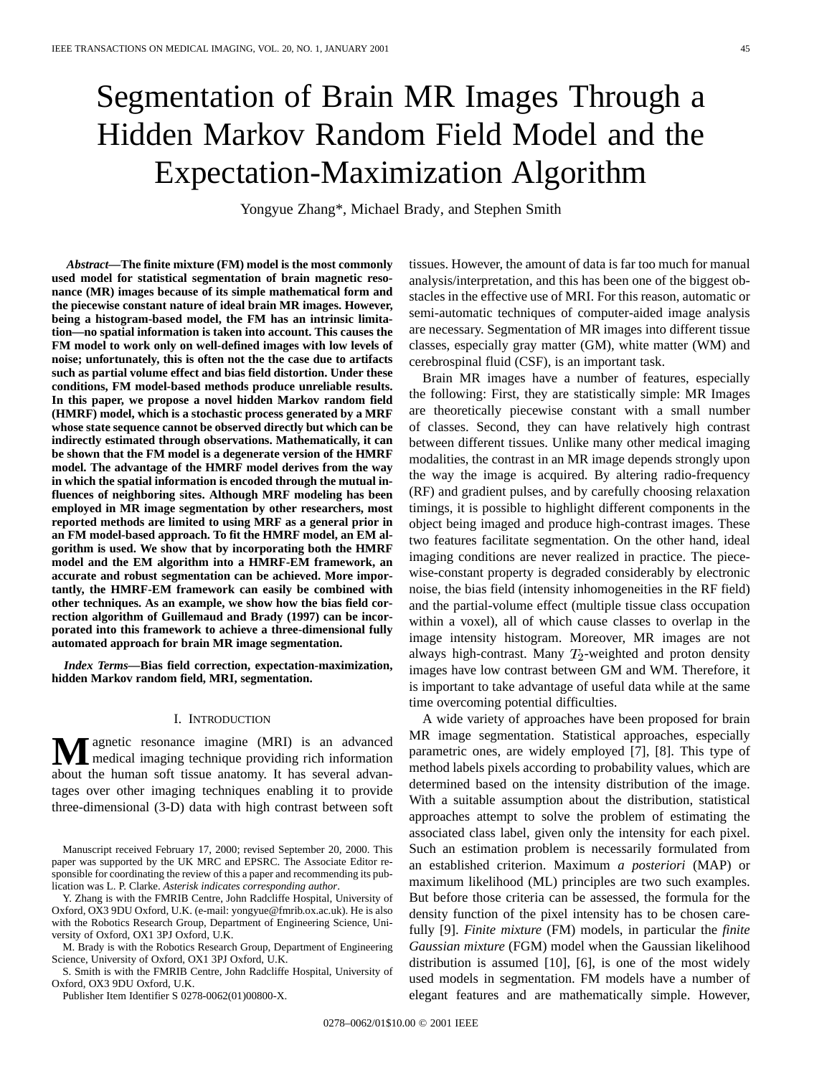# Segmentation of Brain MR Images Through a Hidden Markov Random Field Model and the Expectation-Maximization Algorithm

Yongyue Zhang\*, Michael Brady, and Stephen Smith

*Abstract—***The finite mixture (FM) model is the most commonly used model for statistical segmentation of brain magnetic resonance (MR) images because of its simple mathematical form and the piecewise constant nature of ideal brain MR images. However, being a histogram-based model, the FM has an intrinsic limitation—no spatial information is taken into account. This causes the FM model to work only on well-defined images with low levels of noise; unfortunately, this is often not the the case due to artifacts such as partial volume effect and bias field distortion. Under these conditions, FM model-based methods produce unreliable results. In this paper, we propose a novel hidden Markov random field (HMRF) model, which is a stochastic process generated by a MRF whose state sequence cannot be observed directly but which can be indirectly estimated through observations. Mathematically, it can be shown that the FM model is a degenerate version of the HMRF model. The advantage of the HMRF model derives from the way in which the spatial information is encoded through the mutual influences of neighboring sites. Although MRF modeling has been employed in MR image segmentation by other researchers, most reported methods are limited to using MRF as a general prior in an FM model-based approach. To fit the HMRF model, an EM algorithm is used. We show that by incorporating both the HMRF model and the EM algorithm into a HMRF-EM framework, an accurate and robust segmentation can be achieved. More importantly, the HMRF-EM framework can easily be combined with other techniques. As an example, we show how the bias field correction algorithm of Guillemaud and Brady (1997) can be incorporated into this framework to achieve a three-dimensional fully automated approach for brain MR image segmentation.**

*Index Terms—***Bias field correction, expectation-maximization, hidden Markov random field, MRI, segmentation.**

#### I. INTRODUCTION

agnetic resonance imagine (MRI) is an advanced medical imaging technique providing rich information about the human soft tissue anatomy. It has several advantages over other imaging techniques enabling it to provide three-dimensional (3-D) data with high contrast between soft

Manuscript received February 17, 2000; revised September 20, 2000. This paper was supported by the UK MRC and EPSRC. The Associate Editor responsible for coordinating the review of this a paper and recommending its publication was L. P. Clarke. *Asterisk indicates corresponding author*.

Y. Zhang is with the FMRIB Centre, John Radcliffe Hospital, University of Oxford, OX3 9DU Oxford, U.K. (e-mail: yongyue@fmrib.ox.ac.uk). He is also with the Robotics Research Group, Department of Engineering Science, University of Oxford, OX1 3PJ Oxford, U.K.

M. Brady is with the Robotics Research Group, Department of Engineering Science, University of Oxford, OX1 3PJ Oxford, U.K.

S. Smith is with the FMRIB Centre, John Radcliffe Hospital, University of Oxford, OX3 9DU Oxford, U.K.

Publisher Item Identifier S 0278-0062(01)00800-X.

tissues. However, the amount of data is far too much for manual analysis/interpretation, and this has been one of the biggest obstacles in the effective use of MRI. For this reason, automatic or semi-automatic techniques of computer-aided image analysis are necessary. Segmentation of MR images into different tissue classes, especially gray matter (GM), white matter (WM) and cerebrospinal fluid (CSF), is an important task.

Brain MR images have a number of features, especially the following: First, they are statistically simple: MR Images are theoretically piecewise constant with a small number of classes. Second, they can have relatively high contrast between different tissues. Unlike many other medical imaging modalities, the contrast in an MR image depends strongly upon the way the image is acquired. By altering radio-frequency (RF) and gradient pulses, and by carefully choosing relaxation timings, it is possible to highlight different components in the object being imaged and produce high-contrast images. These two features facilitate segmentation. On the other hand, ideal imaging conditions are never realized in practice. The piecewise-constant property is degraded considerably by electronic noise, the bias field (intensity inhomogeneities in the RF field) and the partial-volume effect (multiple tissue class occupation within a voxel), all of which cause classes to overlap in the image intensity histogram. Moreover, MR images are not always high-contrast. Many  $T_2$ -weighted and proton density images have low contrast between GM and WM. Therefore, it is important to take advantage of useful data while at the same time overcoming potential difficulties.

A wide variety of approaches have been proposed for brain MR image segmentation. Statistical approaches, especially parametric ones, are widely employed [7], [8]. This type of method labels pixels according to probability values, which are determined based on the intensity distribution of the image. With a suitable assumption about the distribution, statistical approaches attempt to solve the problem of estimating the associated class label, given only the intensity for each pixel. Such an estimation problem is necessarily formulated from an established criterion. Maximum *a posteriori* (MAP) or maximum likelihood (ML) principles are two such examples. But before those criteria can be assessed, the formula for the density function of the pixel intensity has to be chosen carefully [9]. *Finite mixture* (FM) models, in particular the *finite Gaussian mixture* (FGM) model when the Gaussian likelihood distribution is assumed [10], [6], is one of the most widely used models in segmentation. FM models have a number of elegant features and are mathematically simple. However,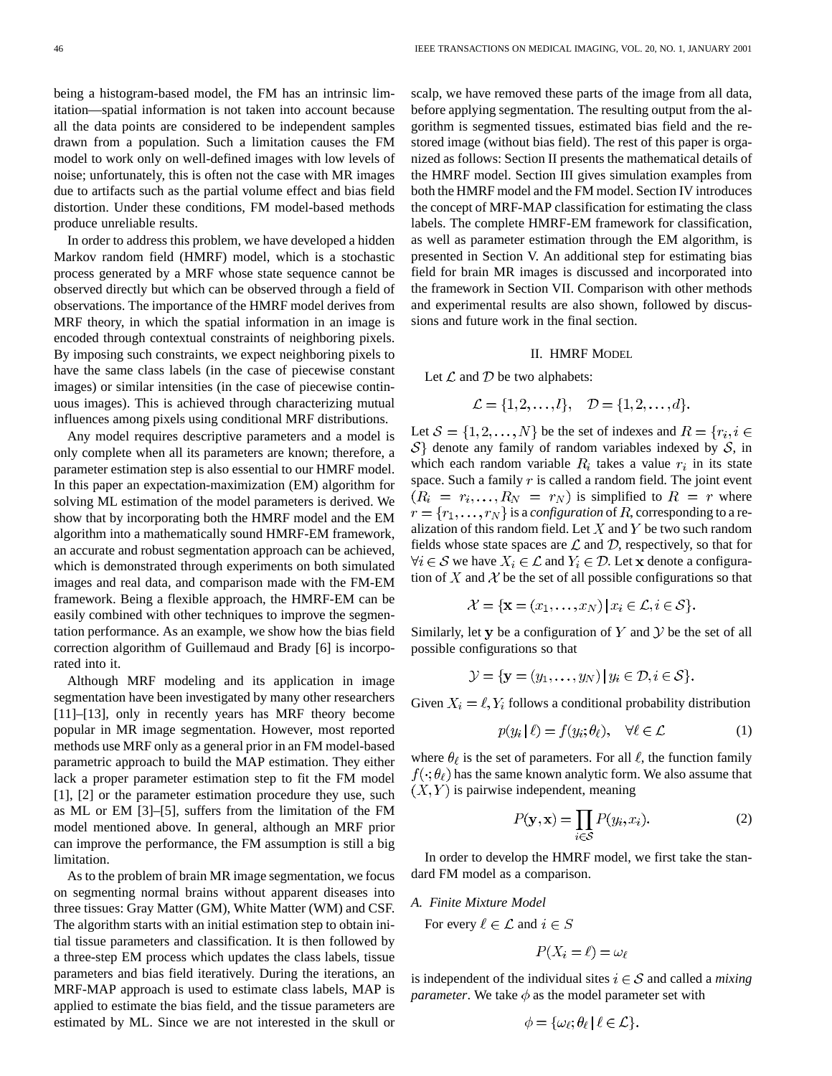being a histogram-based model, the FM has an intrinsic limitation—spatial information is not taken into account because all the data points are considered to be independent samples drawn from a population. Such a limitation causes the FM model to work only on well-defined images with low levels of noise; unfortunately, this is often not the case with MR images due to artifacts such as the partial volume effect and bias field distortion. Under these conditions, FM model-based methods produce unreliable results.

In order to address this problem, we have developed a hidden Markov random field (HMRF) model, which is a stochastic process generated by a MRF whose state sequence cannot be observed directly but which can be observed through a field of observations. The importance of the HMRF model derives from MRF theory, in which the spatial information in an image is encoded through contextual constraints of neighboring pixels. By imposing such constraints, we expect neighboring pixels to have the same class labels (in the case of piecewise constant images) or similar intensities (in the case of piecewise continuous images). This is achieved through characterizing mutual influences among pixels using conditional MRF distributions.

Any model requires descriptive parameters and a model is only complete when all its parameters are known; therefore, a parameter estimation step is also essential to our HMRF model. In this paper an expectation-maximization (EM) algorithm for solving ML estimation of the model parameters is derived. We show that by incorporating both the HMRF model and the EM algorithm into a mathematically sound HMRF-EM framework, an accurate and robust segmentation approach can be achieved, which is demonstrated through experiments on both simulated images and real data, and comparison made with the FM-EM framework. Being a flexible approach, the HMRF-EM can be easily combined with other techniques to improve the segmentation performance. As an example, we show how the bias field correction algorithm of Guillemaud and Brady [6] is incorporated into it.

Although MRF modeling and its application in image segmentation have been investigated by many other researchers [11]–[13], only in recently years has MRF theory become popular in MR image segmentation. However, most reported methods use MRF only as a general prior in an FM model-based parametric approach to build the MAP estimation. They either lack a proper parameter estimation step to fit the FM model [1], [2] or the parameter estimation procedure they use, such as ML or EM [3]–[5], suffers from the limitation of the FM model mentioned above. In general, although an MRF prior can improve the performance, the FM assumption is still a big limitation.

As to the problem of brain MR image segmentation, we focus on segmenting normal brains without apparent diseases into three tissues: Gray Matter (GM), White Matter (WM) and CSF. The algorithm starts with an initial estimation step to obtain initial tissue parameters and classification. It is then followed by a three-step EM process which updates the class labels, tissue parameters and bias field iteratively. During the iterations, an MRF-MAP approach is used to estimate class labels, MAP is applied to estimate the bias field, and the tissue parameters are estimated by ML. Since we are not interested in the skull or scalp, we have removed these parts of the image from all data, before applying segmentation. The resulting output from the algorithm is segmented tissues, estimated bias field and the restored image (without bias field). The rest of this paper is organized as follows: Section II presents the mathematical details of the HMRF model. Section III gives simulation examples from both the HMRF model and the FM model. Section IV introduces the concept of MRF-MAP classification for estimating the class labels. The complete HMRF-EM framework for classification, as well as parameter estimation through the EM algorithm, is presented in Section V. An additional step for estimating bias field for brain MR images is discussed and incorporated into the framework in Section VII. Comparison with other methods and experimental results are also shown, followed by discussions and future work in the final section.

## II. HMRF MODEL

Let  $\mathcal L$  and  $\mathcal D$  be two alphabets:

$$
\mathcal{L} = \{1, 2, ..., l\}, \quad \mathcal{D} = \{1, 2, ..., d\}.
$$

Let  $S = \{1, 2, ..., N\}$  be the set of indexes and  $R = \{r_i, i \in$  $S$ } denote any family of random variables indexed by  $S$ , in which each random variable  $R_i$  takes a value  $r_i$  in its state space. Such a family  $r$  is called a random field. The joint event  $i(R_i = r_i, \ldots, R_N = r_N)$  is simplified to  $R = r$  where  $r = \{r_1, \ldots, r_N\}$  is a *configuration* of R, corresponding to a realization of this random field. Let  $X$  and  $Y$  be two such random fields whose state spaces are  $\mathcal L$  and  $\mathcal D$ , respectively, so that for  $\forall i \in S$  we have  $X_i \in \mathcal{L}$  and  $Y_i \in \mathcal{D}$ . Let x denote a configuration of X and X be the set of all possible configurations so that

$$
\mathcal{X} = \{ \mathbf{x} = (x_1, \dots, x_N) \, | \, x_i \in \mathcal{L}, i \in \mathcal{S} \}.
$$

Similarly, let y be a configuration of  $Y$  and  $Y$  be the set of all possible configurations so that

$$
\mathcal{Y} = \{ \mathbf{y} = (y_1, \dots, y_N) \, | \, y_i \in \mathcal{D}, i \in \mathcal{S} \}.
$$

Given  $X_i = \ell, Y_i$  follows a conditional probability distribution

$$
p(y_i | \ell) = f(y_i; \theta_\ell), \quad \forall \ell \in \mathcal{L} \tag{1}
$$

where  $\theta_{\ell}$  is the set of parameters. For all  $\ell$ , the function family  $f(\cdot; \theta_\ell)$  has the same known analytic form. We also assume that  $(X, Y)$  is pairwise independent, meaning

$$
P(\mathbf{y}, \mathbf{x}) = \prod_{i \in \mathcal{S}} P(y_i, x_i).
$$
 (2)

In order to develop the HMRF model, we first take the standard FM model as a comparison.

*A. Finite Mixture Model*

For every  $\ell \in \mathcal{L}$  and  $i \in S$ 

$$
P(X_i = \ell) = \omega_{\ell}
$$

is independent of the individual sites  $i \in S$  and called a *mixing parameter*. We take  $\phi$  as the model parameter set with

$$
\phi = \{\omega_{\ell}; \theta_{\ell} \,|\, \ell \in \mathcal{L}\}.
$$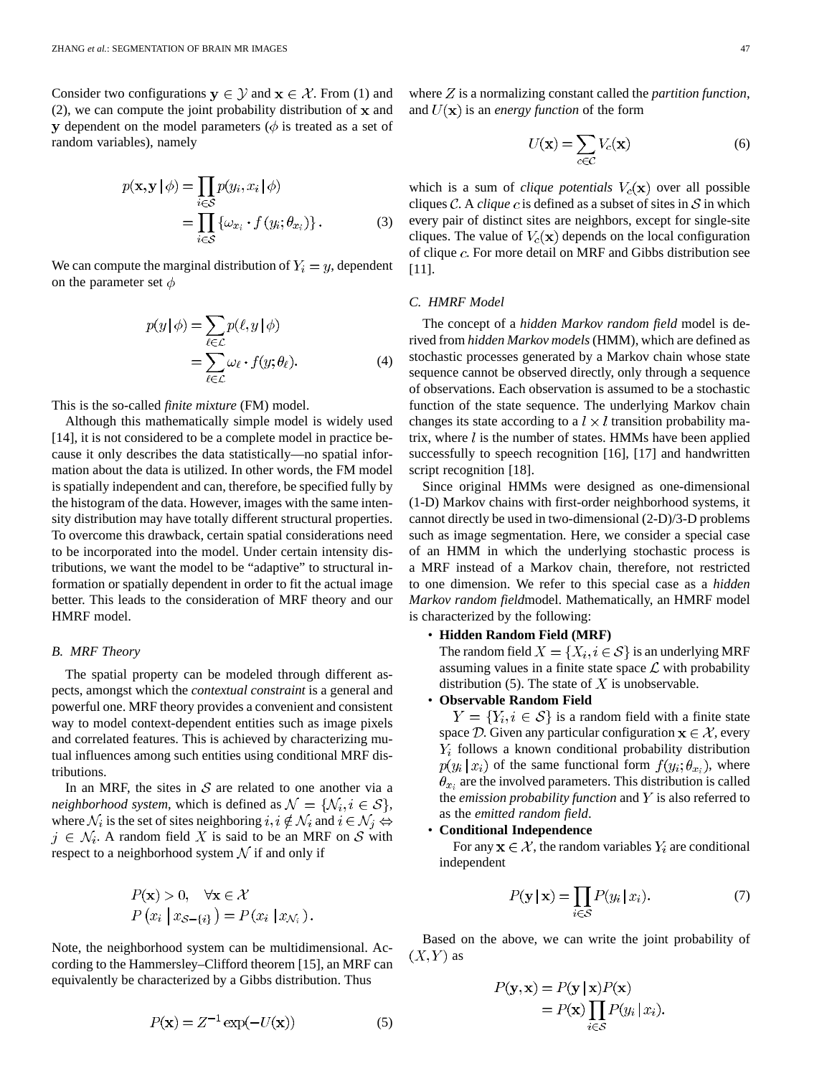Consider two configurations  $y \in \mathcal{Y}$  and  $x \in \mathcal{X}$ . From (1) and (2), we can compute the joint probability distribution of  $x$  and y dependent on the model parameters ( $\phi$  is treated as a set of random variables), namely

$$
p(\mathbf{x}, \mathbf{y} | \phi) = \prod_{i \in S} p(y_i, x_i | \phi)
$$
  
= 
$$
\prod_{i \in S} \{ \omega_{x_i} \cdot f(y_i; \theta_{x_i}) \}.
$$
 (3)

We can compute the marginal distribution of  $Y_i = y$ , dependent on the parameter set  $\phi$ 

$$
p(y | \phi) = \sum_{\ell \in \mathcal{L}} p(\ell, y | \phi)
$$
  
= 
$$
\sum_{\ell \in \mathcal{L}} \omega_{\ell} \cdot f(y; \theta_{\ell}).
$$
 (4)

This is the so-called *finite mixture* (FM) model.

Although this mathematically simple model is widely used [14], it is not considered to be a complete model in practice because it only describes the data statistically—no spatial information about the data is utilized. In other words, the FM model is spatially independent and can, therefore, be specified fully by the histogram of the data. However, images with the same intensity distribution may have totally different structural properties. To overcome this drawback, certain spatial considerations need to be incorporated into the model. Under certain intensity distributions, we want the model to be "adaptive" to structural information or spatially dependent in order to fit the actual image better. This leads to the consideration of MRF theory and our HMRF model.

#### *B. MRF Theory*

The spatial property can be modeled through different aspects, amongst which the *contextual constraint* is a general and powerful one. MRF theory provides a convenient and consistent way to model context-dependent entities such as image pixels and correlated features. This is achieved by characterizing mutual influences among such entities using conditional MRF distributions.

In an MRF, the sites in  $S$  are related to one another via a *neighborhood system*, which is defined as  $\mathcal{N} = \{ \mathcal{N}_i, i \in \mathcal{S} \},\$ where  $\mathcal{N}_i$  is the set of sites neighboring  $i, i \notin \mathcal{N}_i$  and  $i \in \mathcal{N}_j \Leftrightarrow$  $j \in \mathcal{N}_i$ . A random field X is said to be an MRF on S with respect to a neighborhood system  $\mathcal N$  if and only if

$$
P(\mathbf{x}) > 0, \quad \forall \mathbf{x} \in \mathcal{X}
$$
  
 
$$
P(x_i | x_{\mathcal{S} - \{i\}}) = P(x_i | x_{\mathcal{N}_i}).
$$

Note, the neighborhood system can be multidimensional. According to the Hammersley–Clifford theorem [15], an MRF can equivalently be characterized by a Gibbs distribution. Thus

where  $Z$  is a normalizing constant called the *partition function*, and  $U(\mathbf{x})$  is an *energy function* of the form

$$
U(\mathbf{x}) = \sum_{c \in \mathcal{C}} V_c(\mathbf{x})
$$
 (6)

which is a sum of *clique potentials*  $V_c(\mathbf{x})$  over all possible cliques  $\mathcal C$ . A *clique* c is defined as a subset of sites in  $\mathcal S$  in which every pair of distinct sites are neighbors, except for single-site cliques. The value of  $V_c(\mathbf{x})$  depends on the local configuration of clique  $c$ . For more detail on MRF and Gibbs distribution see [11].

#### *C. HMRF Model*

The concept of a *hidden Markov random field* model is derived from *hidden Markov models*(HMM), which are defined as stochastic processes generated by a Markov chain whose state sequence cannot be observed directly, only through a sequence of observations. Each observation is assumed to be a stochastic function of the state sequence. The underlying Markov chain changes its state according to a  $l \times l$  transition probability matrix, where  $l$  is the number of states. HMMs have been applied successfully to speech recognition [16], [17] and handwritten script recognition [18].

Since original HMMs were designed as one-dimensional (1-D) Markov chains with first-order neighborhood systems, it cannot directly be used in two-dimensional (2-D)/3-D problems such as image segmentation. Here, we consider a special case of an HMM in which the underlying stochastic process is a MRF instead of a Markov chain, therefore, not restricted to one dimension. We refer to this special case as a *hidden Markov random field*model. Mathematically, an HMRF model is characterized by the following:

## • **Hidden Random Field (MRF)**

The random field  $X = \{X_i, i \in S\}$  is an underlying MRF assuming values in a finite state space  $\mathcal L$  with probability distribution (5). The state of X is unobservable.

#### • **Observable Random Field**

 $Y = \{Y_i, i \in S\}$  is a random field with a finite state space D. Given any particular configuration  $\mathbf{x} \in \mathcal{X}$ , every  $Y_i$  follows a known conditional probability distribution  $p(y_i | x_i)$  of the same functional form  $f(y_i; \theta_{x_i})$ , where  $\theta_{x_i}$  are the involved parameters. This distribution is called the *emission probability function* and  $Y$  is also referred to as the *emitted random field*.

#### • **Conditional Independence**

For any  $x \in \mathcal{X}$ , the random variables  $Y_i$  are conditional independent

$$
P(\mathbf{y} \mid \mathbf{x}) = \prod_{i \in S} P(y_i \mid x_i).
$$
 (7)

Based on the above, we can write the joint probability of  $(X,Y)$  as

$$
P(\mathbf{y}, \mathbf{x}) = P(\mathbf{y} | \mathbf{x}) P(\mathbf{x})
$$
  
=  $P(\mathbf{x}) \prod_{i \in S} P(y_i | x_i).$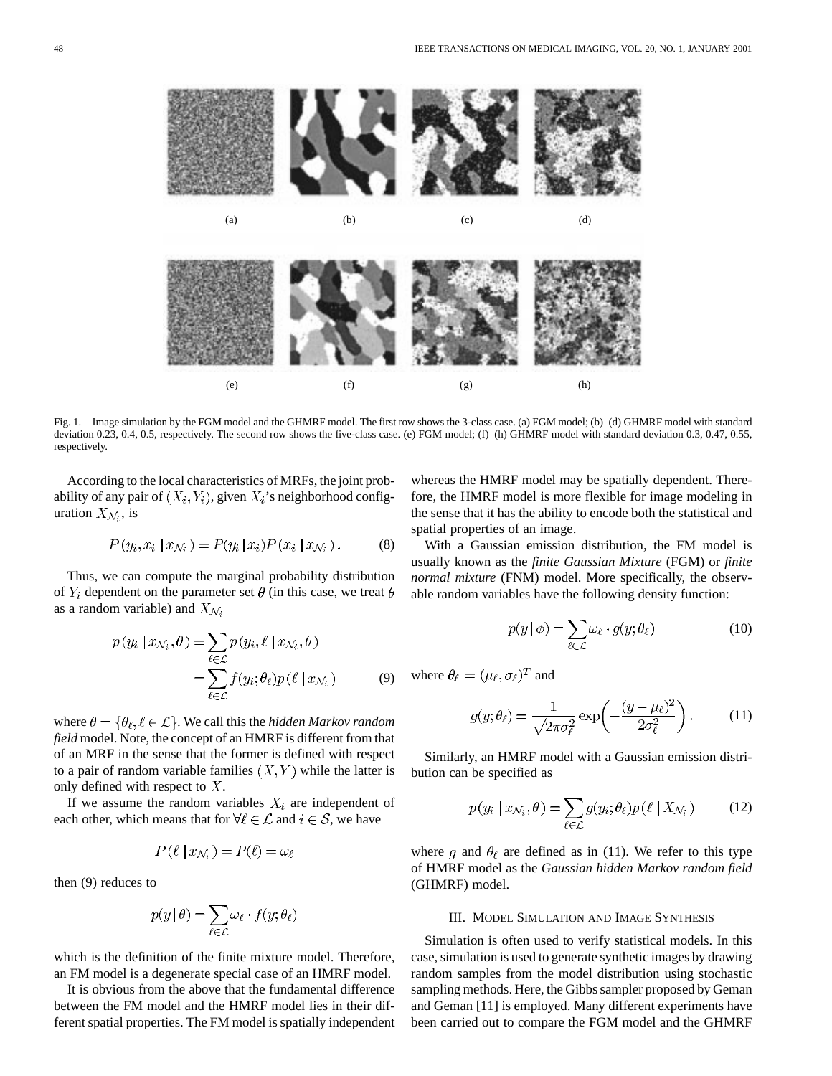

Fig. 1. Image simulation by the FGM model and the GHMRF model. The first row shows the 3-class case. (a) FGM model; (b)–(d) GHMRF model with standard deviation 0.23, 0.4, 0.5, respectively. The second row shows the five-class case. (e) FGM model; (f)–(h) GHMRF model with standard deviation 0.3, 0.47, 0.55, respectively.

According to the local characteristics of MRFs, the joint probability of any pair of  $(X_i, Y_i)$ , given  $X_i$ 's neighborhood configuration  $X_{\mathcal{N}_i}$ , is

$$
P(y_i, x_i | x_{\mathcal{N}_i}) = P(y_i | x_i) P(x_i | x_{\mathcal{N}_i}). \tag{8}
$$

Thus, we can compute the marginal probability distribution of  $Y_i$  dependent on the parameter set  $\theta$  (in this case, we treat  $\theta$ as a random variable) and  $X_{\mathcal{N}_i}$ 

$$
p(y_i | x_{\mathcal{N}_i}, \theta) = \sum_{\ell \in \mathcal{L}} p(y_i, \ell | x_{\mathcal{N}_i}, \theta)
$$
  
= 
$$
\sum_{\ell \in \mathcal{L}} f(y_i; \theta_\ell) p(\ell | x_{\mathcal{N}_i})
$$
(9)

where  $\theta = {\theta_{\ell}, \ell \in \mathcal{L}}$ . We call this the *hidden Markov random field* model. Note, the concept of an HMRF is different from that of an MRF in the sense that the former is defined with respect to a pair of random variable families  $(X, Y)$  while the latter is only defined with respect to  $X$ .

If we assume the random variables  $X_i$  are independent of each other, which means that for  $\forall \ell \in \mathcal{L}$  and  $i \in \mathcal{S}$ , we have

$$
P(\ell \mid x_{\mathcal{N}_i}) = P(\ell) = \omega_{\ell}
$$

then (9) reduces to

$$
p(y | \theta) = \sum_{\ell \in \mathcal{L}} \omega_{\ell} \cdot f(y; \theta_{\ell})
$$

which is the definition of the finite mixture model. Therefore, an FM model is a degenerate special case of an HMRF model.

It is obvious from the above that the fundamental difference between the FM model and the HMRF model lies in their different spatial properties. The FM model is spatially independent whereas the HMRF model may be spatially dependent. Therefore, the HMRF model is more flexible for image modeling in the sense that it has the ability to encode both the statistical and spatial properties of an image.

With a Gaussian emission distribution, the FM model is usually known as the *finite Gaussian Mixture* (FGM) or *finite normal mixture* (FNM) model. More specifically, the observable random variables have the following density function:

$$
p(y | \phi) = \sum_{\ell \in \mathcal{L}} \omega_{\ell} \cdot g(y; \theta_{\ell})
$$
 (10)

where  $\theta_{\ell} = (\mu_{\ell}, \sigma_{\ell})^T$  and

$$
g(y; \theta_{\ell}) = \frac{1}{\sqrt{2\pi\sigma_{\ell}^2}} \exp\left(-\frac{(y-\mu_{\ell})^2}{2\sigma_{\ell}^2}\right).
$$
 (11)

Similarly, an HMRF model with a Gaussian emission distribution can be specified as

$$
p(y_i | x_{\mathcal{N}_i}, \theta) = \sum_{\ell \in \mathcal{L}} g(y_i; \theta_\ell) p(\ell | X_{\mathcal{N}_i}) \tag{12}
$$

where g and  $\theta_{\ell}$  are defined as in (11). We refer to this type of HMRF model as the *Gaussian hidden Markov random field* (GHMRF) model.

#### III. MODEL SIMULATION AND IMAGE SYNTHESIS

Simulation is often used to verify statistical models. In this case, simulation is used to generate synthetic images by drawing random samples from the model distribution using stochastic sampling methods. Here, the Gibbs sampler proposed by Geman and Geman [11] is employed. Many different experiments have been carried out to compare the FGM model and the GHMRF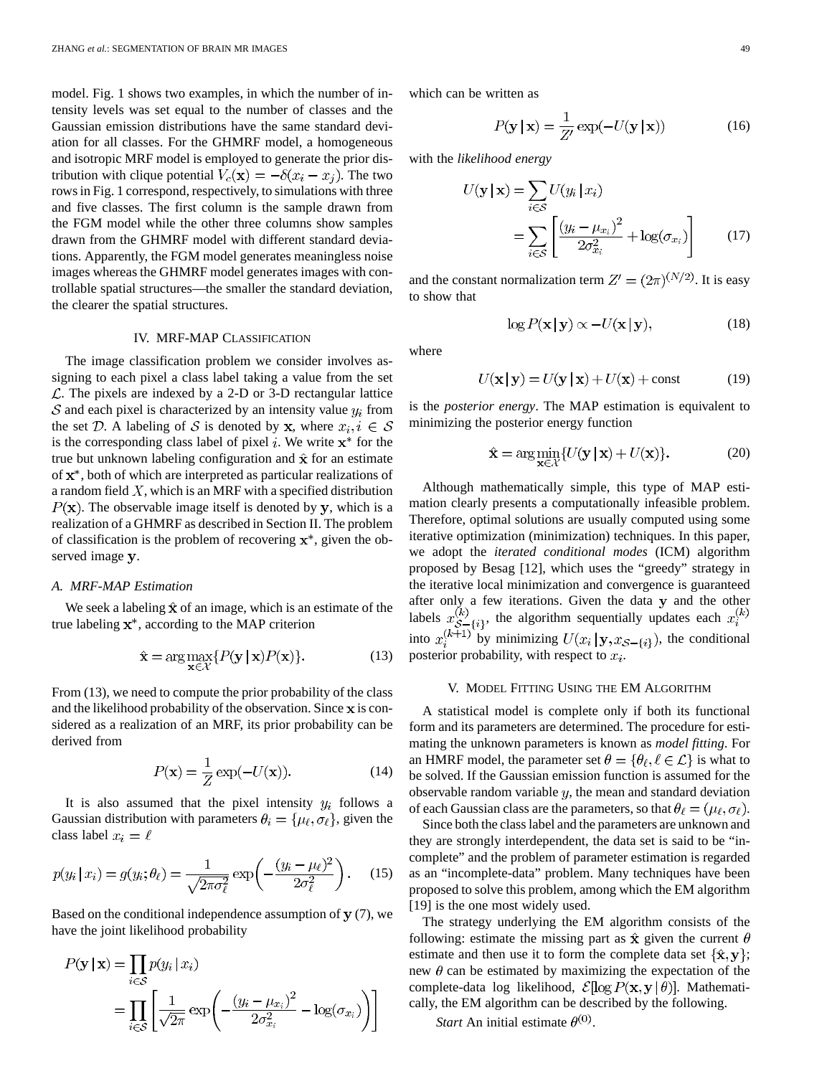model. Fig. 1 shows two examples, in which the number of intensity levels was set equal to the number of classes and the Gaussian emission distributions have the same standard deviation for all classes. For the GHMRF model, a homogeneous and isotropic MRF model is employed to generate the prior distribution with clique potential  $V_c(\mathbf{x}) = -\delta(x_i - x_j)$ . The two rows in Fig. 1 correspond, respectively, to simulations with three and five classes. The first column is the sample drawn from the FGM model while the other three columns show samples drawn from the GHMRF model with different standard deviations. Apparently, the FGM model generates meaningless noise images whereas the GHMRF model generates images with controllable spatial structures—the smaller the standard deviation, the clearer the spatial structures.

#### IV. MRF-MAP CLASSIFICATION

The image classification problem we consider involves assigning to each pixel a class label taking a value from the set  $\mathcal{L}$ . The pixels are indexed by a 2-D or 3-D rectangular lattice  $S$  and each pixel is characterized by an intensity value  $y_i$  from the set D. A labeling of S is denoted by **x**, where  $x_i, i \in S$ is the corresponding class label of pixel  $i$ . We write  $x^*$  for the true but unknown labeling configuration and  $\hat{\mathbf{x}}$  for an estimate of  $x^*$ , both of which are interpreted as particular realizations of a random field  $X$ , which is an MRF with a specified distribution  $P(x)$ . The observable image itself is denoted by y, which is a realization of a GHMRF as described in Section II. The problem of classification is the problem of recovering  $x^*$ , given the observed image  $v$ .

## *A. MRF-MAP Estimation*

We seek a labeling  $\hat{x}$  of an image, which is an estimate of the true labeling  $x^*$ , according to the MAP criterion

$$
\hat{\mathbf{x}} = \arg \max_{\mathbf{x} \in \mathcal{X}} \{ P(\mathbf{y} \mid \mathbf{x}) P(\mathbf{x}) \}. \tag{13}
$$

From (13), we need to compute the prior probability of the class and the likelihood probability of the observation. Since  $x$  is considered as a realization of an MRF, its prior probability can be derived from

$$
P(\mathbf{x}) = \frac{1}{Z} \exp(-U(\mathbf{x})).
$$
 (14)

It is also assumed that the pixel intensity  $y_i$  follows a Gaussian distribution with parameters  $\theta_i = {\mu_\ell, \sigma_\ell}$ , given the class label  $x_i = \ell$ 

$$
p(y_i | x_i) = g(y_i; \theta_\ell) = \frac{1}{\sqrt{2\pi\sigma_\ell^2}} \exp\left(-\frac{(y_i - \mu_\ell)^2}{2\sigma_\ell^2}\right). \quad (15)
$$

Based on the conditional independence assumption of  $\bf{v}$  (7), we have the joint likelihood probability

$$
P(\mathbf{y} \mid \mathbf{x}) = \prod_{i \in S} p(y_i \mid x_i)
$$
  
= 
$$
\prod_{i \in S} \left[ \frac{1}{\sqrt{2\pi}} \exp\left( -\frac{(y_i - \mu_{x_i})^2}{2\sigma_{x_i}^2} - \log(\sigma_{x_i}) \right) \right]
$$

which can be written as

$$
P(\mathbf{y} \mid \mathbf{x}) = \frac{1}{Z'} \exp(-U(\mathbf{y} \mid \mathbf{x}))
$$
 (16)

with the *likelihood energy*

$$
U(\mathbf{y} \mid \mathbf{x}) = \sum_{i \in S} U(y_i \mid x_i)
$$

$$
= \sum_{i \in S} \left[ \frac{(y_i - \mu_{x_i})^2}{2\sigma_{x_i}^2} + \log(\sigma_{x_i}) \right]
$$
(17)

and the constant normalization term  $Z' = (2\pi)^{(N/2)}$ . It is easy to show that

$$
\log P(\mathbf{x}|\mathbf{y}) \propto -U(\mathbf{x}|\mathbf{y}),\tag{18}
$$

where

$$
U(\mathbf{x} \mid \mathbf{y}) = U(\mathbf{y} \mid \mathbf{x}) + U(\mathbf{x}) + \text{const}
$$
 (19)

is the *posterior energy*. The MAP estimation is equivalent to minimizing the posterior energy function

$$
\hat{\mathbf{x}} = \underset{\mathbf{x} \in \mathcal{X}}{\arg \min} \{ U(\mathbf{y} \,|\, \mathbf{x}) + U(\mathbf{x}) \}. \tag{20}
$$

Although mathematically simple, this type of MAP estimation clearly presents a computationally infeasible problem. Therefore, optimal solutions are usually computed using some iterative optimization (minimization) techniques. In this paper, we adopt the *iterated conditional modes* (ICM) algorithm proposed by Besag [12], which uses the "greedy" strategy in the iterative local minimization and convergence is guaranteed after only a few iterations. Given the data y and the other labels  $x_{S-f_i}^{(k)}$ , the algorithm sequentially updates each into  $x_i^{(k+1)}$  by minimizing  $U(x_i | \mathbf{y}, x_{\mathcal{S}-\{i\}})$ , the conditional posterior probability, with respect to  $x_i$ .

## V. MODEL FITTING USING THE EM ALGORITHM

A statistical model is complete only if both its functional form and its parameters are determined. The procedure for estimating the unknown parameters is known as *model fitting*. For an HMRF model, the parameter set  $\theta = {\theta_{\ell}, \ell \in \mathcal{L}}$  is what to be solved. If the Gaussian emission function is assumed for the observable random variable  $y$ , the mean and standard deviation of each Gaussian class are the parameters, so that  $\theta_{\ell} = (\mu_{\ell}, \sigma_{\ell}).$ 

Since both the class label and the parameters are unknown and they are strongly interdependent, the data set is said to be "incomplete" and the problem of parameter estimation is regarded as an "incomplete-data" problem. Many techniques have been proposed to solve this problem, among which the EM algorithm [19] is the one most widely used.

The strategy underlying the EM algorithm consists of the following: estimate the missing part as  $\hat{\mathbf{x}}$  given the current  $\theta$ estimate and then use it to form the complete data set  $\{\hat{\mathbf{x}}, \mathbf{y}\}\;$ ; new  $\theta$  can be estimated by maximizing the expectation of the complete-data log likelihood,  $\mathcal{E}[\log P(\mathbf{x}, \mathbf{y} | \theta)]$ . Mathematically, the EM algorithm can be described by the following.

*Start* An initial estimate  $\theta^{(0)}$ .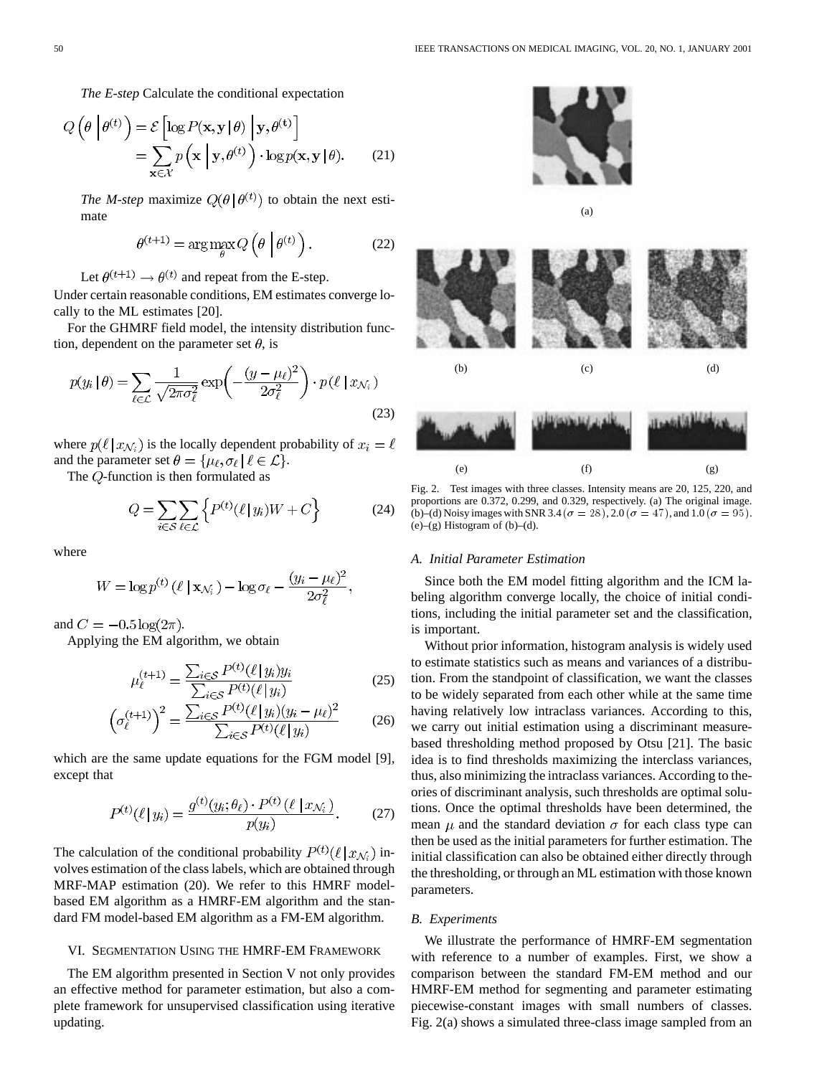*The E-step* Calculate the conditional expectation

$$
Q\left(\theta \middle| \theta^{(t)}\right) = \mathcal{E}\left[\log P(\mathbf{x}, \mathbf{y} \middle| \theta)\middle| \mathbf{y}, \theta^{(t)}\right] = \sum_{\mathbf{x} \in \mathcal{X}} p\left(\mathbf{x} \middle| \mathbf{y}, \theta^{(t)}\right) \cdot \log p(\mathbf{x}, \mathbf{y} \middle| \theta).
$$
 (21)

*The M-step* maximize  $Q(\theta | \theta^{(t)})$  to obtain the next estimate

$$
\theta^{(t+1)} = \arg\max_{\theta} Q\left(\theta \mid \theta^{(t)}\right). \tag{22}
$$

Let  $\theta^{(t+1)} \rightarrow \theta^{(t)}$  and repeat from the E-step.

Under certain reasonable conditions, EM estimates converge locally to the ML estimates [20].

For the GHMRF field model, the intensity distribution function, dependent on the parameter set  $\theta$ , is

$$
p(y_i | \theta) = \sum_{\ell \in \mathcal{L}} \frac{1}{\sqrt{2\pi \sigma_\ell^2}} \exp\left(-\frac{(y - \mu_\ell)^2}{2\sigma_\ell^2}\right) \cdot p(\ell \mid x_{\mathcal{N}_i})
$$
\n(23)

where  $p(\ell | x_{\mathcal{N}_i})$  is the locally dependent probability of  $x_i = \ell$ and the parameter set  $\theta = {\mu_{\ell}, \sigma_{\ell} | \ell \in \mathcal{L}}$ .

The  $Q$ -function is then formulated as

$$
Q = \sum_{i \in \mathcal{S}} \sum_{\ell \in \mathcal{L}} \left\{ P^{(t)}(\ell | y_i) W + C \right\}
$$
 (24)

where

$$
W = \log p^{(t)}\left(\ell \mid \mathbf{x}_{\mathcal{N}_i}\right) - \log \sigma_{\ell} - \frac{(y_i - \mu_{\ell})^2}{2\sigma_{\ell}^2},
$$

and  $C = -0.5 \log(2\pi)$ .

Applying the EM algorithm, we obtain

$$
\mu_{\ell}^{(t+1)} = \frac{\sum_{i \in S} P^{(t)}(\ell | y_i) y_i}{\sum_{i \in S} P^{(t)}(\ell | y_i)}\tag{25}
$$

$$
\left(\sigma_{\ell}^{(t+1)}\right)^2 = \frac{\sum_{i \in S} P^{(t)}(\ell | y_i)(y_i - \mu_{\ell})^2}{\sum_{i \in S} P^{(t)}(\ell | y_i)}\tag{26}
$$

which are the same update equations for the FGM model [9], except that

$$
P^{(t)}(\ell | y_i) = \frac{g^{(t)}(y_i; \theta_\ell) \cdot P^{(t)}(\ell | x_{\mathcal{N}_i})}{p(y_i)}.
$$
 (27)

The calculation of the conditional probability  $P^{(t)}(\ell | x_{\mathcal{N}_i})$  involves estimation of the class labels, which are obtained through MRF-MAP estimation (20). We refer to this HMRF modelbased EM algorithm as a HMRF-EM algorithm and the standard FM model-based EM algorithm as a FM-EM algorithm.

#### VI. SEGMENTATION USING THE HMRF-EM FRAMEWORK

The EM algorithm presented in Section V not only provides an effective method for parameter estimation, but also a complete framework for unsupervised classification using iterative updating.



(a)

(b)  $(c)$  (c) (e)  $(f)$  (g)

Fig. 2. Test images with three classes. Intensity means are 20, 125, 220, and proportions are 0.372, 0.299, and 0.329, respectively. (a) The original image. (b)–(d) Noisy images with SNR 3.4 ( $\sigma = 28$ ), 2.0 ( $\sigma = 47$ ), and 1.0 ( $\sigma = 95$ ).  $(e)$ – $(g)$  Histogram of  $(b)$ – $(d)$ .

#### *A. Initial Parameter Estimation*

Since both the EM model fitting algorithm and the ICM labeling algorithm converge locally, the choice of initial conditions, including the initial parameter set and the classification, is important.

Without prior information, histogram analysis is widely used to estimate statistics such as means and variances of a distribution. From the standpoint of classification, we want the classes to be widely separated from each other while at the same time having relatively low intraclass variances. According to this, we carry out initial estimation using a discriminant measurebased thresholding method proposed by Otsu [21]. The basic idea is to find thresholds maximizing the interclass variances, thus, also minimizing the intraclass variances. According to theories of discriminant analysis, such thresholds are optimal solutions. Once the optimal thresholds have been determined, the mean  $\mu$  and the standard deviation  $\sigma$  for each class type can then be used as the initial parameters for further estimation. The initial classification can also be obtained either directly through the thresholding, or through an ML estimation with those known parameters.

#### *B. Experiments*

We illustrate the performance of HMRF-EM segmentation with reference to a number of examples. First, we show a comparison between the standard FM-EM method and our HMRF-EM method for segmenting and parameter estimating piecewise-constant images with small numbers of classes. Fig. 2(a) shows a simulated three-class image sampled from an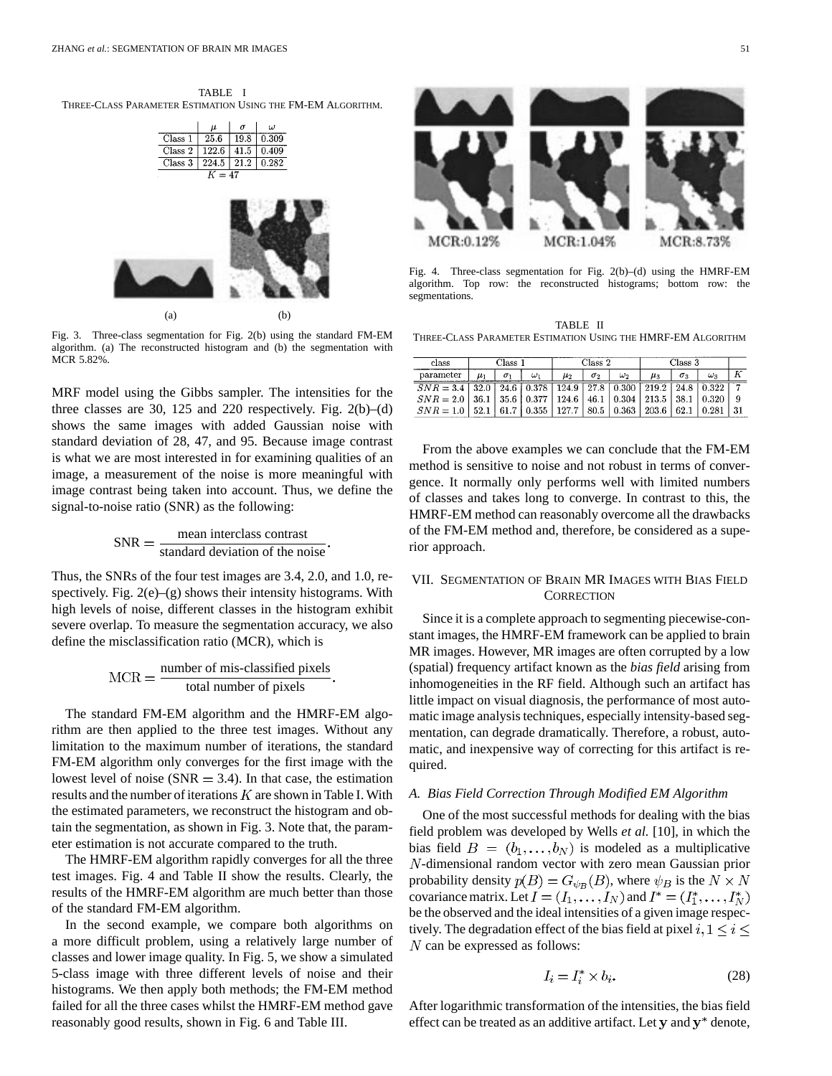TABLE I THREE-CLASS PARAMETER ESTIMATION USING THE FM-EM ALGORITHM.



Fig. 3. Three-class segmentation for Fig. 2(b) using the standard FM-EM algorithm. (a) The reconstructed histogram and (b) the segmentation with MCR 5.82%.

MRF model using the Gibbs sampler. The intensities for the three classes are 30, 125 and 220 respectively. Fig. 2(b)–(d) shows the same images with added Gaussian noise with standard deviation of 28, 47, and 95. Because image contrast is what we are most interested in for examining qualities of an image, a measurement of the noise is more meaningful with image contrast being taken into account. Thus, we define the signal-to-noise ratio (SNR) as the following:

$$
SNR = \frac{mean\ interclass\ contrast}{standard\ deviation\ of\ the\ noise}.
$$

Thus, the SNRs of the four test images are 3.4, 2.0, and 1.0, respectively. Fig.  $2(e)$ –(g) shows their intensity histograms. With high levels of noise, different classes in the histogram exhibit severe overlap. To measure the segmentation accuracy, we also define the misclassification ratio (MCR), which is

$$
MCR = \frac{number\ of\ mis-classified\ pixels}{total\ number\ of\ pixels}.
$$

The standard FM-EM algorithm and the HMRF-EM algorithm are then applied to the three test images. Without any limitation to the maximum number of iterations, the standard FM-EM algorithm only converges for the first image with the lowest level of noise ( $SNR = 3.4$ ). In that case, the estimation results and the number of iterations  $K$  are shown in Table I. With the estimated parameters, we reconstruct the histogram and obtain the segmentation, as shown in Fig. 3. Note that, the parameter estimation is not accurate compared to the truth.

The HMRF-EM algorithm rapidly converges for all the three test images. Fig. 4 and Table II show the results. Clearly, the results of the HMRF-EM algorithm are much better than those of the standard FM-EM algorithm.

In the second example, we compare both algorithms on a more difficult problem, using a relatively large number of classes and lower image quality. In Fig. 5, we show a simulated 5-class image with three different levels of noise and their histograms. We then apply both methods; the FM-EM method failed for all the three cases whilst the HMRF-EM method gave reasonably good results, shown in Fig. 6 and Table III.



Fig. 4. Three-class segmentation for Fig. 2(b)–(d) using the HMRF-EM algorithm. Top row: the reconstructed histograms; bottom row: the segmentations.

TABLE II THREE-CLASS PARAMETER ESTIMATION USING THE HMRF-EM ALGORITHM

| class                |      | Class 1    |                  |         | Class 2    |                        | Class 3 |            |       |    |
|----------------------|------|------------|------------------|---------|------------|------------------------|---------|------------|-------|----|
| parameter            | Ш    | $\sigma_1$ | $\omega_1$       | $\mu_2$ | $\sigma_2$ | $\omega_2$             | $\mu_3$ | $\sigma_3$ | ω3    |    |
| $SNR = 3.4 \pm 32.0$ |      |            | $24.6 \pm 0.378$ |         |            | $124.9$   27.8   0.300 | 219.2   | 24.8       | 0.322 | ₩  |
| $SNR = 2.0$          | 36.1 |            | $35.6 \pm 0.377$ | 124.6   | 46.1       | 0.304                  | 213.5   | 38.1       | 0.320 | 9  |
| $SNR = 1.0$          | 59.1 | 61.7       | 0.355            | 127.7   | 80.5       | 0.363                  | 203.6   |            |       | 31 |

From the above examples we can conclude that the FM-EM method is sensitive to noise and not robust in terms of convergence. It normally only performs well with limited numbers of classes and takes long to converge. In contrast to this, the HMRF-EM method can reasonably overcome all the drawbacks of the FM-EM method and, therefore, be considered as a superior approach.

## VII. SEGMENTATION OF BRAIN MR IMAGES WITH BIAS FIELD **CORRECTION**

Since it is a complete approach to segmenting piecewise-constant images, the HMRF-EM framework can be applied to brain MR images. However, MR images are often corrupted by a low (spatial) frequency artifact known as the *bias field* arising from inhomogeneities in the RF field. Although such an artifact has little impact on visual diagnosis, the performance of most automatic image analysis techniques, especially intensity-based segmentation, can degrade dramatically. Therefore, a robust, automatic, and inexpensive way of correcting for this artifact is required.

## *A. Bias Field Correction Through Modified EM Algorithm*

One of the most successful methods for dealing with the bias field problem was developed by Wells *et al.* [10], in which the bias field  $B = (b_1, \ldots, b_N)$  is modeled as a multiplicative  $N$ -dimensional random vector with zero mean Gaussian prior probability density  $p(B) = G_{\psi_B}(B)$ , where  $\psi_B$  is the  $N \times N$ covariance matrix. Let  $I = (I_1, \ldots, I_N)$  and  $I^* = (I^*_1, \ldots, I^*_N)$ be the observed and the ideal intensities of a given image respectively. The degradation effect of the bias field at pixel  $i, 1 \leq i \leq$  $N$  can be expressed as follows:

$$
I_i = I_i^* \times b_i. \tag{28}
$$

After logarithmic transformation of the intensities, the bias field effect can be treated as an additive artifact. Let  $y$  and  $y^*$  denote,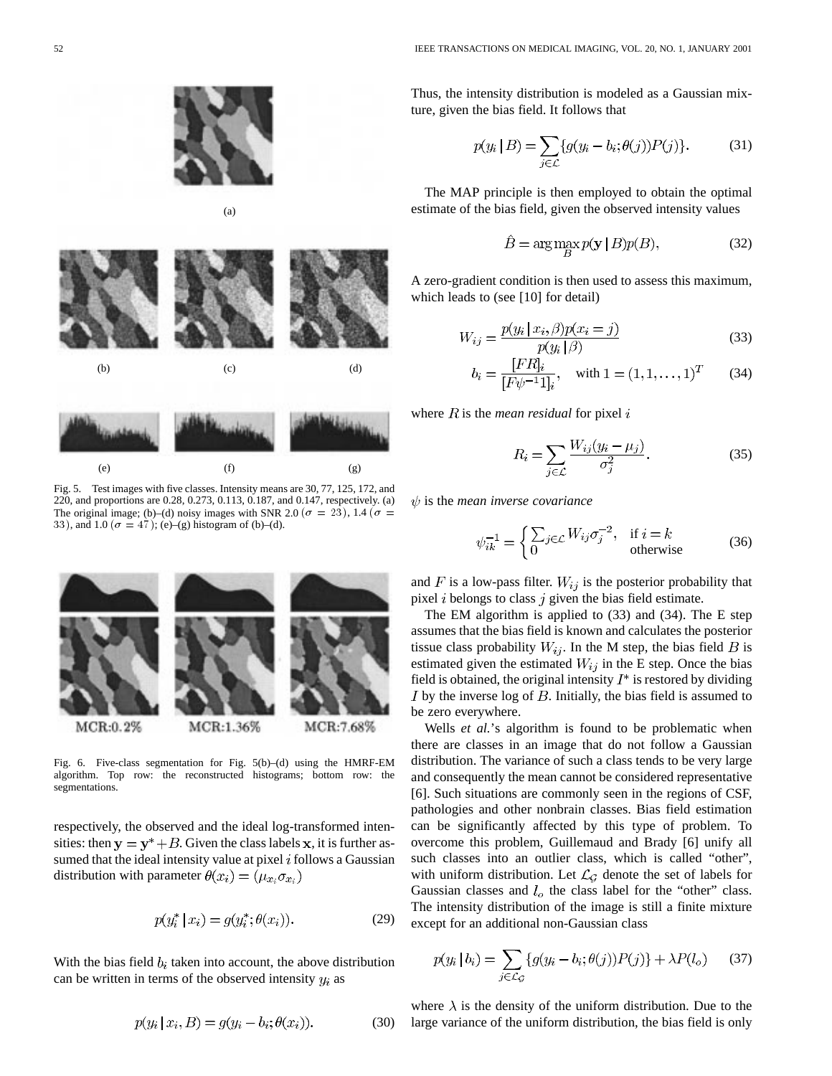(a)



Fig. 5. Test images with five classes. Intensity means are 30, 77, 125, 172, and 220, and proportions are 0.28, 0.273, 0.113, 0.187, and 0.147, respectively. (a) The original image; (b)–(d) noisy images with SNR 2.0 ( $\sigma = 2\overline{3}$ ), 1.4 ( $\sigma =$ 33), and 1.0 ( $\sigma = 47$ ); (e)–(g) histogram of (b)–(d).



Fig. 6. Five-class segmentation for Fig. 5(b)–(d) using the HMRF-EM algorithm. Top row: the reconstructed histograms; bottom row: the segmentations.

respectively, the observed and the ideal log-transformed intensities: then  $y = y^* + B$ . Given the class labels x, it is further assumed that the ideal intensity value at pixel  $i$  follows a Gaussian distribution with parameter  $\theta(x_i) = (\mu_x, \sigma_{x_i})$ 

$$
p(y_i^* | x_i) = g(y_i^*; \theta(x_i)).
$$
\n(29)

With the bias field  $b_i$  taken into account, the above distribution can be written in terms of the observed intensity  $u_i$  as

$$
p(y_i | x_i, B) = g(y_i - b_i; \theta(x_i)).
$$
\n(30)

Thus, the intensity distribution is modeled as a Gaussian mixture, given the bias field. It follows that

$$
p(y_i | B) = \sum_{j \in \mathcal{L}} \{ g(y_i - b_i; \theta(j)) P(j) \}.
$$
 (31)

The MAP principle is then employed to obtain the optimal estimate of the bias field, given the observed intensity values

$$
\hat{B} = \arg\max_{B} p(\mathbf{y} \mid B)p(B),\tag{32}
$$

A zero-gradient condition is then used to assess this maximum, which leads to (see [10] for detail)

$$
W_{ij} = \frac{p(y_i \mid x_i, \beta)p(x_i = j)}{p(y_i \mid \beta)}\tag{33}
$$

$$
b_i = \frac{[FR]_i}{[F\psi^{-1}1]_i}, \quad \text{with } 1 = (1, 1, \dots, 1)^T \tag{34}
$$

where  $R$  is the *mean residual* for pixel  $i$ 

$$
R_i = \sum_{j \in \mathcal{L}} \frac{W_{ij}(y_i - \mu_j)}{\sigma_j^2}.
$$
 (35)

 $\psi$  is the *mean inverse covariance* 

$$
\psi_{ik}^{-1} = \begin{cases} \sum_{j \in \mathcal{L}} W_{ij} \sigma_j^{-2}, & \text{if } i = k \\ 0 & \text{otherwise} \end{cases}
$$
 (36)

and  $F$  is a low-pass filter.  $W_{ij}$  is the posterior probability that pixel  $i$  belongs to class  $j$  given the bias field estimate.

The EM algorithm is applied to (33) and (34). The E step assumes that the bias field is known and calculates the posterior tissue class probability  $W_{ij}$ . In the M step, the bias field B is estimated given the estimated  $W_{ij}$  in the E step. Once the bias field is obtained, the original intensity  $I^*$  is restored by dividing  $I$  by the inverse log of  $B$ . Initially, the bias field is assumed to be zero everywhere.

Wells *et al.*'s algorithm is found to be problematic when there are classes in an image that do not follow a Gaussian distribution. The variance of such a class tends to be very large and consequently the mean cannot be considered representative [6]. Such situations are commonly seen in the regions of CSF, pathologies and other nonbrain classes. Bias field estimation can be significantly affected by this type of problem. To overcome this problem, Guillemaud and Brady [6] unify all such classes into an outlier class, which is called "other", with uniform distribution. Let  $\mathcal{L}_G$  denote the set of labels for Gaussian classes and  $l_o$  the class label for the "other" class. The intensity distribution of the image is still a finite mixture except for an additional non-Gaussian class

$$
p(y_i | b_i) = \sum_{j \in \mathcal{L}_{\mathcal{G}}} \{ g(y_i - b_i; \theta(j)) P(j) \} + \lambda P(l_o) \qquad (37)
$$

where  $\lambda$  is the density of the uniform distribution. Due to the large variance of the uniform distribution, the bias field is only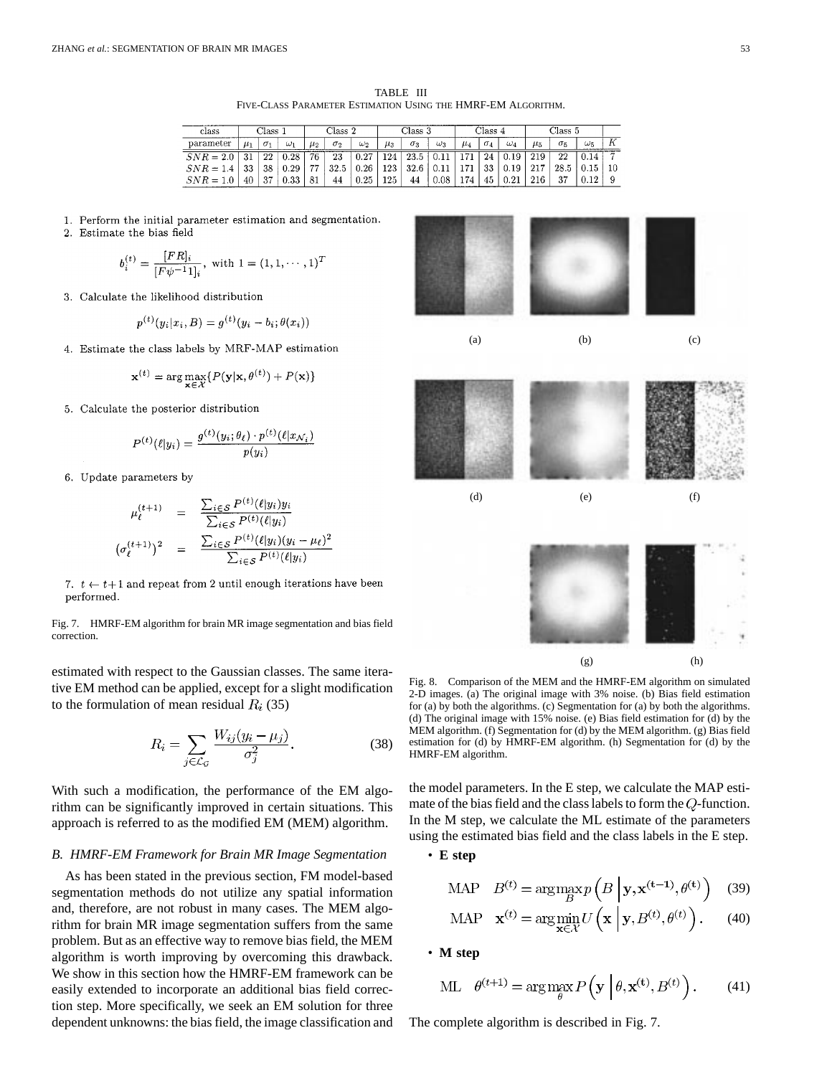TABLE III FIVE-CLASS PARAMETER ESTIMATION USING THE HMRF-EM ALGORITHM.

| class                  | $\rm Class$ . |            | Class 2    |         | Class 3    |            |         | Class 4    |            |         | Class 5    |                  |           |            |               |    |
|------------------------|---------------|------------|------------|---------|------------|------------|---------|------------|------------|---------|------------|------------------|-----------|------------|---------------|----|
| parameter              | $u_1$         | $\sigma_1$ | $\omega_1$ | $\mu_2$ | $\sigma_2$ | $\omega_2$ | $\mu_3$ | $\sigma_3$ | $\omega_3$ | $\mu_4$ | $\sigma_4$ | $\omega_{\rm A}$ | $\mu_{5}$ | $\sigma_5$ | ω٦            | К  |
| $\overline{SNR} = 2.0$ | 31            | 22         | 0.28       | 76      | 23         | 0.27       | 124     | 23.5       |            | 171     | 24         | 0.19             | 219       | 22         | 0.14          |    |
| $SNR = 1.4$            | 33            | 38         | 0.29       | 77      | 32.5       | 0.26       | 123     | 32.6       | 0.11       | 171     | 33         | 0.19             | 217       | 28.5       | $0.15 \pm 10$ |    |
| $SNR = 1.0$            | 40            | 37         | 0.33       | 81      | 44         | 0.25       | 125     | 44         | 0.08       | 174     | 45         | 0.21             | 216       | 37         | 0.12          | -9 |

- 1. Perform the initial parameter estimation and segmentation.
- 2. Estimate the bias field

$$
b_i^{(t)} = \frac{[FR]_i}{[F\psi^{-1}1]_i}, \text{ with } 1 = (1, 1, \cdots, 1)^T
$$

3. Calculate the likelihood distribution

$$
p^{(t)}(y_i|x_i, B) = g^{(t)}(y_i - b_i; \theta(x_i))
$$

4. Estimate the class labels by MRF-MAP estimation

$$
\mathbf{x}^{(t)} = \arg \max_{\mathbf{x} \in \mathcal{X}} \{ P(\mathbf{y}|\mathbf{x}, \theta^{(t)}) + P(\mathbf{x}) \}
$$

5. Calculate the posterior distribution

$$
P^{(t)}(\ell|y_i) = \frac{g^{(t)}(y_i; \theta_\ell) \cdot p^{(t)}(\ell|x_{\mathcal{N}_i})}{p(y_i)}
$$

6. Update parameters by

 $\left($ 

$$
\mu_{\ell}^{(t+1)} = \frac{\sum_{i \in S} P^{(t)}(\ell|y_i) y_i}{\sum_{i \in S} P^{(t)}(\ell|y_i)}
$$

$$
\sigma_{\ell}^{(t+1)})^2 = \frac{\sum_{i \in S} P^{(t)}(\ell|y_i) (y_i - \mu_{\ell})^2}{\sum_{i \in S} P^{(t)}(\ell|y_i)}
$$

7.  $t \leftarrow t+1$  and repeat from 2 until enough iterations have been performed.

Fig. 7. HMRF-EM algorithm for brain MR image segmentation and bias field correction.

estimated with respect to the Gaussian classes. The same iterative EM method can be applied, except for a slight modification to the formulation of mean residual  $R_i$  (35)

$$
R_i = \sum_{j \in \mathcal{L}_G} \frac{W_{ij}(y_i - \mu_j)}{\sigma_j^2}.
$$
 (38)

With such a modification, the performance of the EM algorithm can be significantly improved in certain situations. This approach is referred to as the modified EM (MEM) algorithm.

#### *B. HMRF-EM Framework for Brain MR Image Segmentation*

As has been stated in the previous section, FM model-based segmentation methods do not utilize any spatial information and, therefore, are not robust in many cases. The MEM algorithm for brain MR image segmentation suffers from the same problem. But as an effective way to remove bias field, the MEM algorithm is worth improving by overcoming this drawback. We show in this section how the HMRF-EM framework can be easily extended to incorporate an additional bias field correction step. More specifically, we seek an EM solution for three dependent unknowns: the bias field, the image classification and





Fig. 8. Comparison of the MEM and the HMRF-EM algorithm on simulated 2-D images. (a) The original image with 3% noise. (b) Bias field estimation for (a) by both the algorithms. (c) Segmentation for (a) by both the algorithms. (d) The original image with 15% noise. (e) Bias field estimation for (d) by the MEM algorithm. (f) Segmentation for (d) by the MEM algorithm. (g) Bias field estimation for (d) by HMRF-EM algorithm. (h) Segmentation for (d) by the HMRF-EM algorithm.

the model parameters. In the E step, we calculate the MAP estimate of the bias field and the class labels to form the  $Q$ -function. In the M step, we calculate the ML estimate of the parameters using the estimated bias field and the class labels in the E step.

• **E step**

MAP 
$$
B^{(t)} = \arg\max_{B} p\left(B \mid \mathbf{y}, \mathbf{x}^{(t-1)}, \theta^{(t)}\right)
$$
 (39)

MAP 
$$
\mathbf{x}^{(t)} = \arg\min_{\mathbf{x} \in \mathcal{X}} U\left(\mathbf{x} \mid \mathbf{y}, B^{(t)}, \theta^{(t)}\right).
$$
 (40)

• **M step**

ML 
$$
\theta^{(t+1)} = \arg \max_{\theta} P\left(\mathbf{y} \mid \theta, \mathbf{x}^{(t)}, B^{(t)}\right).
$$
 (41)

The complete algorithm is described in Fig. 7.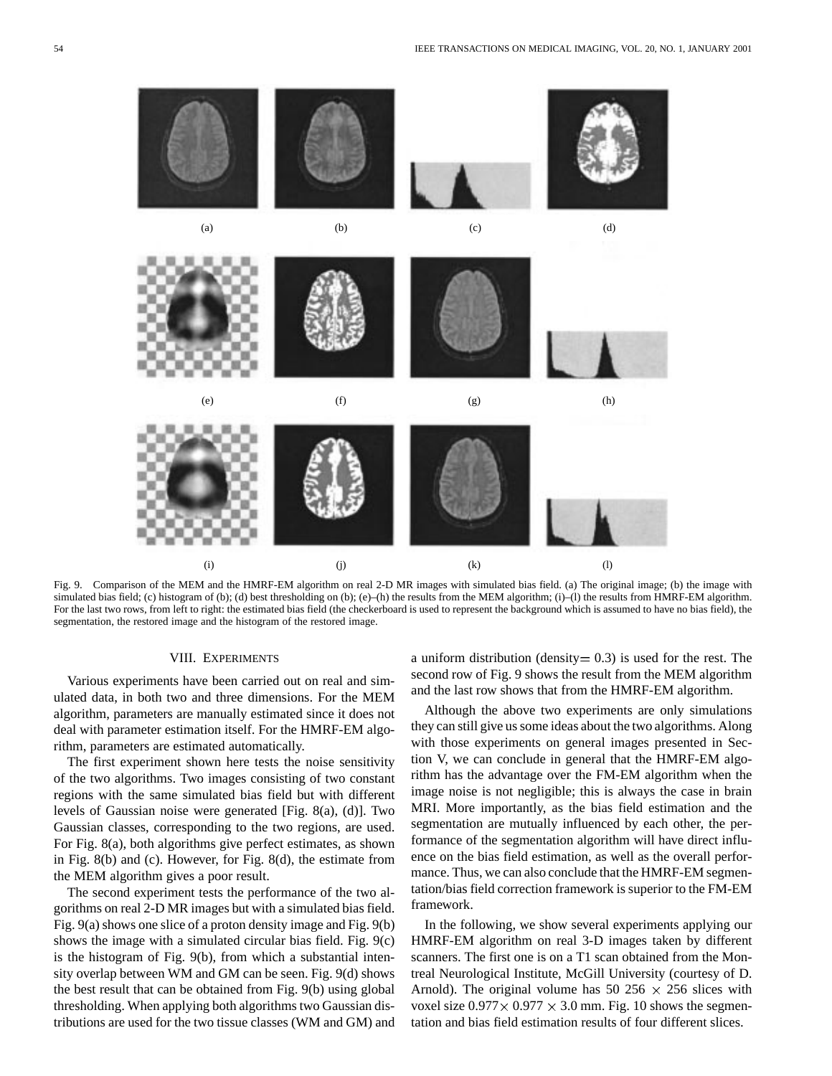

Fig. 9. Comparison of the MEM and the HMRF-EM algorithm on real 2-D MR images with simulated bias field. (a) The original image; (b) the image with simulated bias field; (c) histogram of (b); (d) best thresholding on (b); (e)–(h) the results from the MEM algorithm; (i)–(l) the results from HMRF-EM algorithm. For the last two rows, from left to right: the estimated bias field (the checkerboard is used to represent the background which is assumed to have no bias field), the segmentation, the restored image and the histogram of the restored image.

## VIII. EXPERIMENTS

Various experiments have been carried out on real and simulated data, in both two and three dimensions. For the MEM algorithm, parameters are manually estimated since it does not deal with parameter estimation itself. For the HMRF-EM algorithm, parameters are estimated automatically.

The first experiment shown here tests the noise sensitivity of the two algorithms. Two images consisting of two constant regions with the same simulated bias field but with different levels of Gaussian noise were generated [Fig. 8(a), (d)]. Two Gaussian classes, corresponding to the two regions, are used. For Fig. 8(a), both algorithms give perfect estimates, as shown in Fig. 8(b) and (c). However, for Fig. 8(d), the estimate from the MEM algorithm gives a poor result.

The second experiment tests the performance of the two algorithms on real 2-D MR images but with a simulated bias field. Fig. 9(a) shows one slice of a proton density image and Fig. 9(b) shows the image with a simulated circular bias field. Fig. 9(c) is the histogram of Fig. 9(b), from which a substantial intensity overlap between WM and GM can be seen. Fig. 9(d) shows the best result that can be obtained from Fig. 9(b) using global thresholding. When applying both algorithms two Gaussian distributions are used for the two tissue classes (WM and GM) and a uniform distribution (density  $= 0.3$ ) is used for the rest. The second row of Fig. 9 shows the result from the MEM algorithm and the last row shows that from the HMRF-EM algorithm.

Although the above two experiments are only simulations they can still give us some ideas about the two algorithms. Along with those experiments on general images presented in Section V, we can conclude in general that the HMRF-EM algorithm has the advantage over the FM-EM algorithm when the image noise is not negligible; this is always the case in brain MRI. More importantly, as the bias field estimation and the segmentation are mutually influenced by each other, the performance of the segmentation algorithm will have direct influence on the bias field estimation, as well as the overall performance. Thus, we can also conclude that the HMRF-EM segmentation/bias field correction framework is superior to the FM-EM framework.

In the following, we show several experiments applying our HMRF-EM algorithm on real 3-D images taken by different scanners. The first one is on a T1 scan obtained from the Montreal Neurological Institute, McGill University (courtesy of D. Arnold). The original volume has 50 256  $\times$  256 slices with voxel size  $0.977 \times 0.977 \times 3.0$  mm. Fig. 10 shows the segmentation and bias field estimation results of four different slices.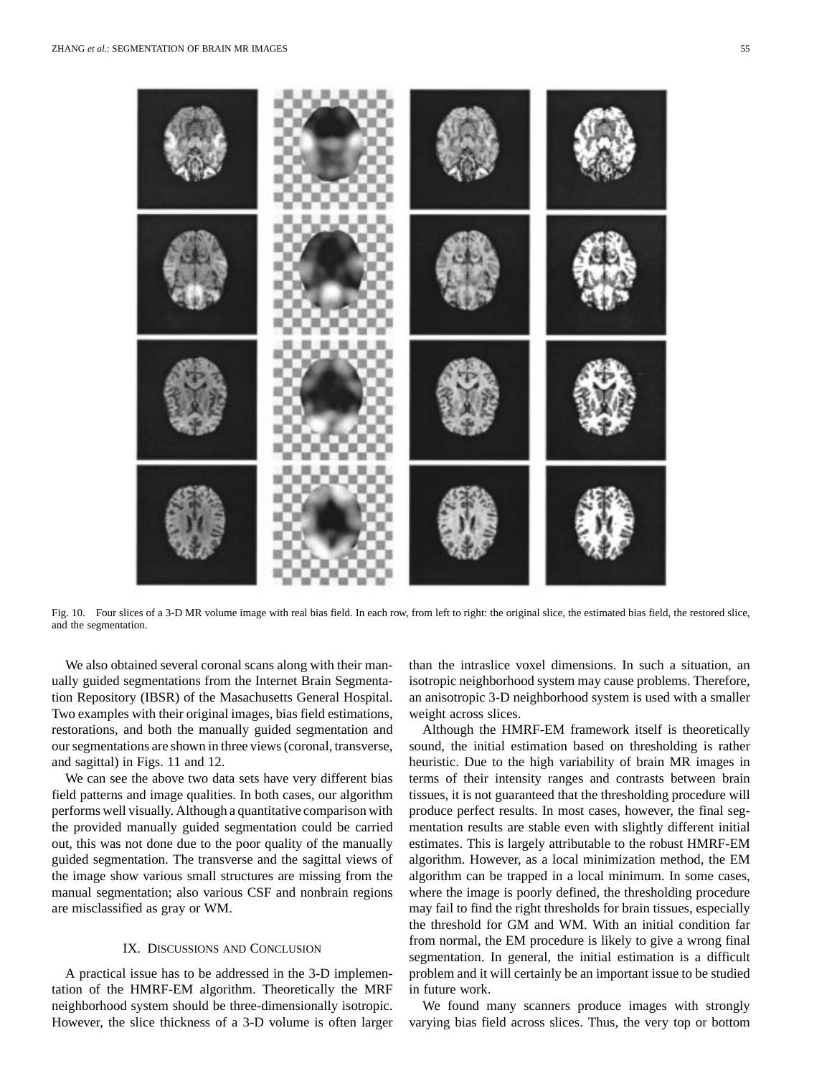

Fig. 10. Four slices of a 3-D MR volume image with real bias field. In each row, from left to right: the original slice, the estimated bias field, the restored slice, and the segmentation.

We also obtained several coronal scans along with their manually guided segmentations from the Internet Brain Segmentation Repository (IBSR) of the Masachusetts General Hospital. Two examples with their original images, bias field estimations, restorations, and both the manually guided segmentation and our segmentations are shown in three views (coronal, transverse, and sagittal) in Figs. 11 and 12.

We can see the above two data sets have very different bias field patterns and image qualities. In both cases, our algorithm performs well visually. Although a quantitative comparison with the provided manually guided segmentation could be carried out, this was not done due to the poor quality of the manually guided segmentation. The transverse and the sagittal views of the image show various small structures are missing from the manual segmentation; also various CSF and nonbrain regions are misclassified as gray or WM.

#### IX. DISCUSSIONS AND CONCLUSION

A practical issue has to be addressed in the 3-D implementation of the HMRF-EM algorithm. Theoretically the MRF neighborhood system should be three-dimensionally isotropic. However, the slice thickness of a 3-D volume is often larger

than the intraslice voxel dimensions. In such a situation, an isotropic neighborhood system may cause problems. Therefore, an anisotropic 3-D neighborhood system is used with a smaller weight across slices.

Although the HMRF-EM framework itself is theoretically sound, the initial estimation based on thresholding is rather heuristic. Due to the high variability of brain MR images in terms of their intensity ranges and contrasts between brain tissues, it is not guaranteed that the thresholding procedure will produce perfect results. In most cases, however, the final segmentation results are stable even with slightly different initial estimates. This is largely attributable to the robust HMRF-EM algorithm. However, as a local minimization method, the EM algorithm can be trapped in a local minimum. In some cases, where the image is poorly defined, the thresholding procedure may fail to find the right thresholds for brain tissues, especially the threshold for GM and WM. With an initial condition far from normal, the EM procedure is likely to give a wrong final segmentation. In general, the initial estimation is a difficult problem and it will certainly be an important issue to be studied in future work.

We found many scanners produce images with strongly varying bias field across slices. Thus, the very top or bottom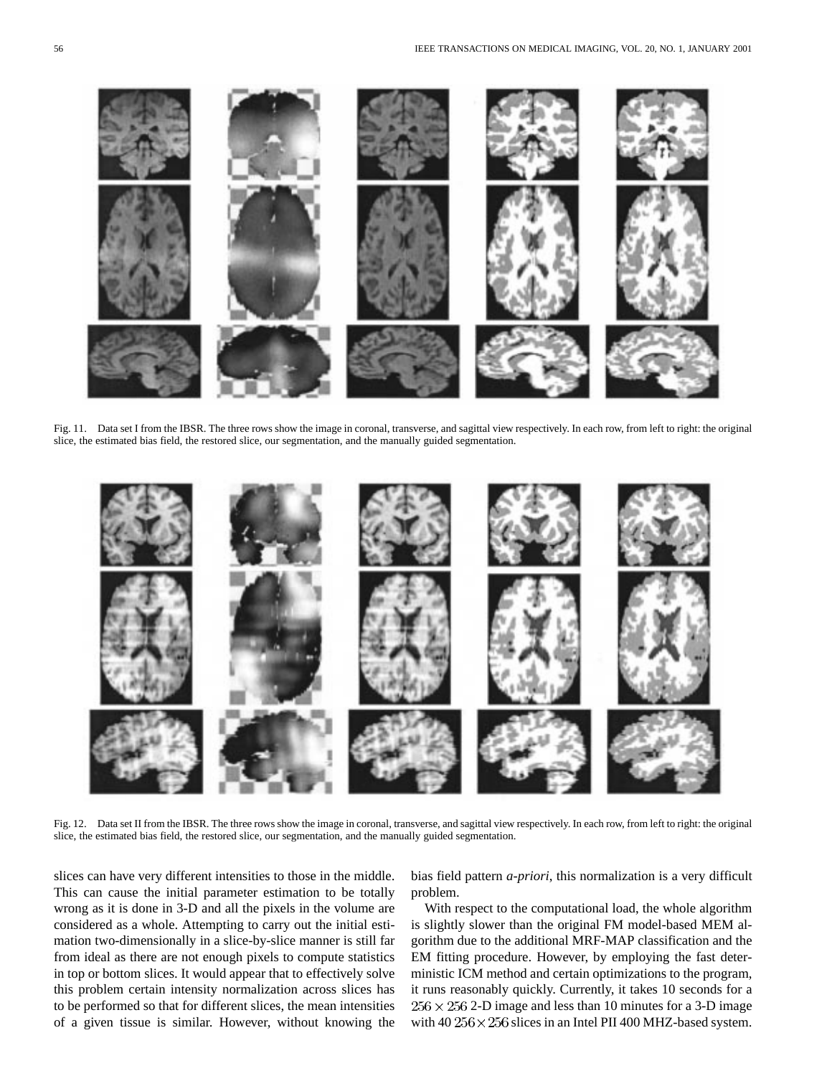Fig. 11. Data set I from the IBSR. The three rows show the image in coronal, transverse, and sagittal view respectively. In each row, from left to right: the original slice, the estimated bias field, the restored slice, our segmentation, and the manually guided segmentation.

Fig. 12. Data set II from the IBSR. The three rows show the image in coronal, transverse, and sagittal view respectively. In each row, from left to right: the original slice, the estimated bias field, the restored slice, our segmentation, and the manually guided segmentation.

slices can have very different intensities to those in the middle. This can cause the initial parameter estimation to be totally wrong as it is done in 3-D and all the pixels in the volume are considered as a whole. Attempting to carry out the initial estimation two-dimensionally in a slice-by-slice manner is still far from ideal as there are not enough pixels to compute statistics in top or bottom slices. It would appear that to effectively solve this problem certain intensity normalization across slices has to be performed so that for different slices, the mean intensities of a given tissue is similar. However, without knowing the bias field pattern *a-priori*, this normalization is a very difficult problem.

With respect to the computational load, the whole algorithm is slightly slower than the original FM model-based MEM algorithm due to the additional MRF-MAP classification and the EM fitting procedure. However, by employing the fast deterministic ICM method and certain optimizations to the program, it runs reasonably quickly. Currently, it takes 10 seconds for a  $256 \times 256$  2-D image and less than 10 minutes for a 3-D image with 40  $256 \times 256$  slices in an Intel PII 400 MHZ-based system.